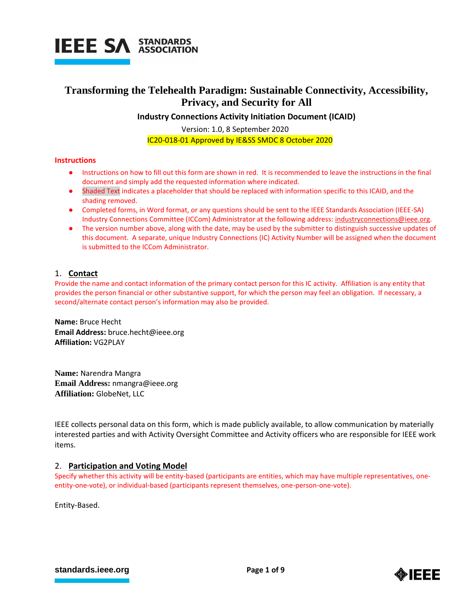

## **Transforming the Telehealth Paradigm: Sustainable Connectivity, Accessibility, Privacy, and Security for All**

**Industry Connections Activity Initiation Document (ICAID)**

Version: 1.0, 8 September 2020 IC20-018-01 Approved by IE&SS SMDC 8 October 2020

## **Instructions**

- Instructions on how to fill out this form are shown in red. It is recommended to leave the instructions in the final document and simply add the requested information where indicated.
- Shaded Text indicates a placeholder that should be replaced with information specific to this ICAID, and the shading removed.
- Completed forms, in Word format, or any questions should be sent to the IEEE Standards Association (IEEE-SA) Industry Connections Committee (ICCom) Administrator at the following address[: industryconnections@ieee.org.](mailto:industryconnections@ieee.org)
- The version number above, along with the date, may be used by the submitter to distinguish successive updates of this document. A separate, unique Industry Connections (IC) Activity Number will be assigned when the document is submitted to the ICCom Administrator.

## 1. **Contact**

Provide the name and contact information of the primary contact person for this IC activity. Affiliation is any entity that provides the person financial or other substantive support, for which the person may feel an obligation. If necessary, a second/alternate contact person's information may also be provided.

**Name:** Bruce Hecht **Email Address:** bruce.hecht@ieee.org **Affiliation:** VG2PLAY

**Name:** Narendra Mangra **Email Address:** nmangra@ieee.org **Affiliation:** GlobeNet, LLC

IEEE collects personal data on this form, which is made publicly available, to allow communication by materially interested parties and with Activity Oversight Committee and Activity officers who are responsible for IEEE work items.

## 2. **Participation and Voting Model**

Specify whether this activity will be entity-based (participants are entities, which may have multiple representatives, oneentity-one-vote), or individual-based (participants represent themselves, one-person-one-vote).

Entity-Based.

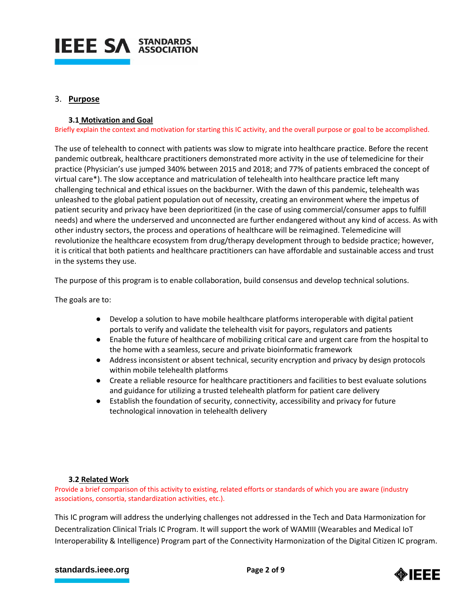

## 3. **Purpose**

## **3.1 Motivation and Goal**

Briefly explain the context and motivation for starting this IC activity, and the overall purpose or goal to be accomplished.

The use of telehealth to connect with patients was slow to migrate into healthcare practice. Before the recent pandemic outbreak, healthcare practitioners demonstrated more activity in the use of telemedicine for their practice (Physician's us[e](https://www.healthcaredive.com/news/physician-telehealth-use-up-340-since-2015-survey-finds/552890/) [jumped 340%](https://www.healthcaredive.com/news/physician-telehealth-use-up-340-since-2015-survey-finds/552890/) between 2015 and 2018; and 77% of patients embraced the concept of virtual care\*). The slow acceptance and matriculation of telehealth into healthcare practice left many challenging technical and ethical issues on the backburner. With the dawn of this pandemic, telehealth was unleashed to the global patient population out of necessity, creating an environment where the impetus of patient security and privacy have been deprioritized (in the case of using commercial/consumer apps to fulfill needs) and where the underserved and unconnected are further endangered without any kind of access. As with other industry sectors, the process and operations of healthcare will be reimagined. Telemedicine will revolutionize the healthcare ecosystem from drug/therapy development through to bedside practice; however, it is critical that both patients and healthcare practitioners can have affordable and sustainable access and trust in the systems they use.

The purpose of this program is to enable collaboration, build consensus and develop technical solutions.

The goals are to:

- Develop a solution to have mobile healthcare platforms interoperable with digital patient portals to verify and validate the telehealth visit for payors, regulators and patients
- Enable the future of healthcare of mobilizing critical care and urgent care from the hospital to the home with a seamless, secure and private bioinformatic framework
- Address inconsistent or absent technical, security encryption and privacy by design protocols within mobile telehealth platforms
- Create a reliable resource for healthcare practitioners and facilities to best evaluate solutions and guidance for utilizing a trusted telehealth platform for patient care delivery
- Establish the foundation of security, connectivity, accessibility and privacy for future technological innovation in telehealth delivery

## **3.2 Related Work**

Provide a brief comparison of this activity to existing, related efforts or standards of which you are aware (industry associations, consortia, standardization activities, etc.).

This IC program will address the underlying challenges not addressed in the Tech and Data Harmonization for Decentralization Clinical Trials IC Program. It will support the work of WAMIII (Wearables and Medical IoT Interoperability & Intelligence) Program part of the Connectivity Harmonization of the Digital Citizen IC program.

#### **[standards.ieee.org](http://standards.ieee.org/) EXECUTE: Page 2 of 9**

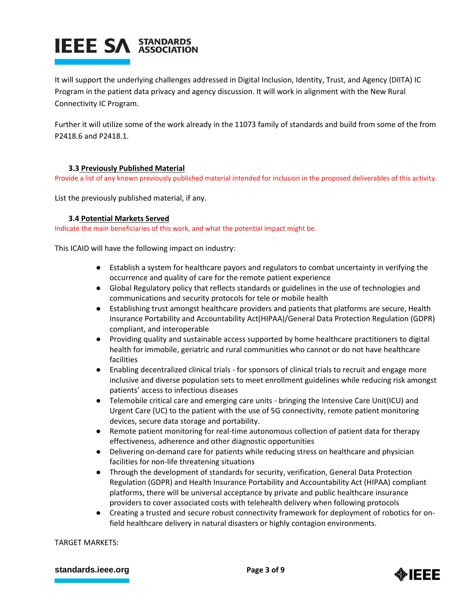# **IEEE SA STANDARDS**

It will support the underlying challenges addressed in Digital Inclusion, Identity, Trust, and Agency (DIITA) IC Program in the patient data privacy and agency discussion. It will work in alignment with the New Rural Connectivity IC Program.

Further it will utilize some of the work already in the 11073 family of standards and build from some of the from P2418.6 and P2418.1.

## **3.3 Previously Published Material**

Provide a list of any known previously published material intended for inclusion in the proposed deliverables of this activity.

List the previously published material, if any.

#### **3.4 Potential Markets Served**

Indicate the main beneficiaries of this work, and what the potential impact might be.

This ICAID will have the following impact on industry:

- Establish a system for healthcare payors and regulators to combat uncertainty in verifying the occurrence and quality of care for the remote patient experience
- Global Regulatory policy that reflects standards or guidelines in the use of technologies and communications and security protocols for tele or mobile health
- Establishing trust amongst healthcare providers and patients that platforms are secure, Health Insurance Portability and Accountability Act(HIPAA)/General Data Protection Regulation (GDPR) compliant, and interoperable
- Providing quality and sustainable access supported by home healthcare practitioners to digital health for immobile, geriatric and rural communities who cannot or do not have healthcare facilities
- Enabling decentralized clinical trials for sponsors of clinical trials to recruit and engage more inclusive and diverse population sets to meet enrollment guidelines while reducing risk amongst patients' access to infectious diseases
- Telemobile critical care and emerging care units bringing the Intensive Care Unit(ICU) and Urgent Care (UC) to the patient with the use of 5G connectivity, remote patient monitoring devices, secure data storage and portability.
- Remote patient monitoring for real-time autonomous collection of patient data for therapy effectiveness, adherence and other diagnostic opportunities
- Delivering on-demand care for patients while reducing stress on healthcare and physician facilities for non-life threatening situations
- Through the development of standards for security, verification, General Data Protection Regulation (GDPR) and Health Insurance Portability and Accountability Act (HIPAA) compliant platforms, there will be universal acceptance by private and public healthcare insurance providers to cover associated costs with telehealth delivery when following protocols
- Creating a trusted and secure robust connectivity framework for deployment of robotics for onfield healthcare delivery in natural disasters or highly contagion environments.

TARGET MARKETS:

#### **[standards.ieee.org](http://standards.ieee.org/) EXECUTE: Page 3 of 9**

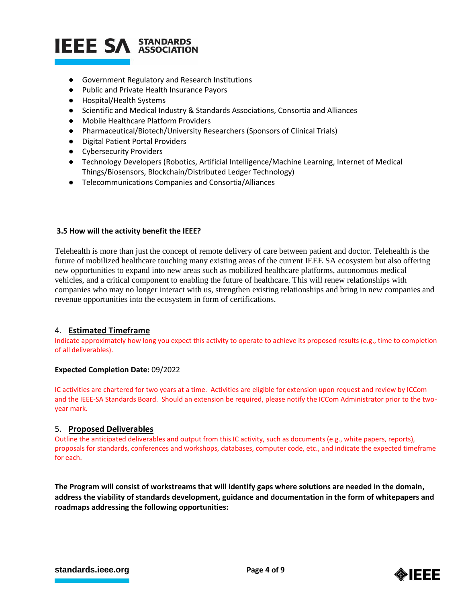## **IEEE SA STANDARDS**

- Government Regulatory and Research Institutions
- Public and Private Health Insurance Payors
- Hospital/Health Systems
- Scientific and Medical Industry & Standards Associations, Consortia and Alliances
- Mobile Healthcare Platform Providers
- Pharmaceutical/Biotech/University Researchers (Sponsors of Clinical Trials)
- Digital Patient Portal Providers
- Cybersecurity Providers
- Technology Developers (Robotics, Artificial Intelligence/Machine Learning, Internet of Medical Things/Biosensors, Blockchain/Distributed Ledger Technology)
- Telecommunications Companies and Consortia/Alliances

#### **3.5 How will the activity benefit the IEEE?**

Telehealth is more than just the concept of remote delivery of care between patient and doctor. Telehealth is the future of mobilized healthcare touching many existing areas of the current IEEE SA ecosystem but also offering new opportunities to expand into new areas such as mobilized healthcare platforms, autonomous medical vehicles, and a critical component to enabling the future of healthcare. This will renew relationships with companies who may no longer interact with us, strengthen existing relationships and bring in new companies and revenue opportunities into the ecosystem in form of certifications.

## 4. **Estimated Timeframe**

Indicate approximately how long you expect this activity to operate to achieve its proposed results (e.g., time to completion of all deliverables).

#### **Expected Completion Date:** 09/2022

IC activities are chartered for two years at a time. Activities are eligible for extension upon request and review by ICCom and the IEEE-SA Standards Board. Should an extension be required, please notify the ICCom Administrator prior to the twoyear mark.

#### 5. **Proposed Deliverables**

Outline the anticipated deliverables and output from this IC activity, such as documents (e.g., white papers, reports), proposals for standards, conferences and workshops, databases, computer code, etc., and indicate the expected timeframe for each.

**The Program will consist of workstreams that will identify gaps where solutions are needed in the domain, address the viability of standards development, guidance and documentation in the form of whitepapers and roadmaps addressing the following opportunities:**

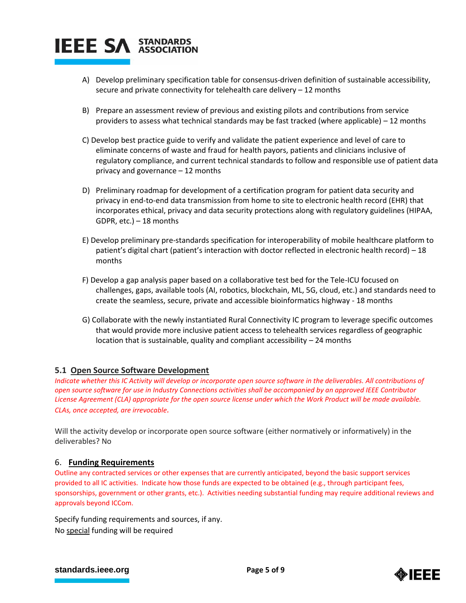

- A) Develop preliminary specification table for consensus-driven definition of sustainable accessibility, secure and private connectivity for telehealth care delivery – 12 months
- B) Prepare an assessment review of previous and existing pilots and contributions from service providers to assess what technical standards may be fast tracked (where applicable) – 12 months
- C) Develop best practice guide to verify and validate the patient experience and level of care to eliminate concerns of waste and fraud for health payors, patients and clinicians inclusive of regulatory compliance, and current technical standards to follow and responsible use of patient data privacy and governance – 12 months
- D) Preliminary roadmap for development of a certification program for patient data security and privacy in end-to-end data transmission from home to site to electronic health record (EHR) that incorporates ethical, privacy and data security protections along with regulatory guidelines (HIPAA, GDPR, etc.) – 18 months
- E) Develop preliminary pre-standards specification for interoperability of mobile healthcare platform to patient's digital chart (patient's interaction with doctor reflected in electronic health record) – 18 months
- F) Develop a gap analysis paper based on a collaborative test bed for the Tele-ICU focused on challenges, gaps, available tools (AI, robotics, blockchain, ML, 5G, cloud, etc.) and standards need to create the seamless, secure, private and accessible bioinformatics highway - 18 months
- G) Collaborate with the newly instantiated Rural Connectivity IC program to leverage specific outcomes that would provide more inclusive patient access to telehealth services regardless of geographic location that is sustainable, quality and compliant accessibility – 24 months

## **5.1 Open Source Software Development**

*Indicate whether this IC Activity will develop or incorporate open source software in the deliverables. All contributions of open source software for use in Industry Connections activities shall be accompanied by an approved IEEE Contributor License Agreement (CLA) appropriate for the open source license under which the Work Product will be made available. CLAs, once accepted, are irrevocable.*

Will the activity develop or incorporate open source software (either normatively or informatively) in the deliverables? No

## 6. **Funding Requirements**

Outline any contracted services or other expenses that are currently anticipated, beyond the basic support services provided to all IC activities. Indicate how those funds are expected to be obtained (e.g., through participant fees, sponsorships, government or other grants, etc.). Activities needing substantial funding may require additional reviews and approvals beyond ICCom.

Specify funding requirements and sources, if any. No special funding will be required

#### **[standards.ieee.org](http://standards.ieee.org/) EXECUTE: Page 5 of 9**

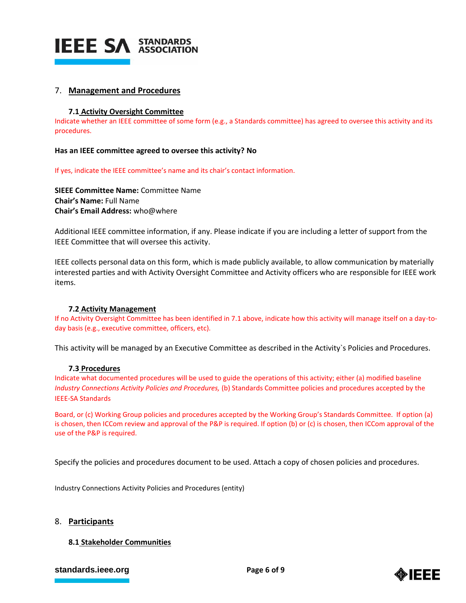

## 7. **Management and Procedures**

#### **7.1 Activity Oversight Committee**

Indicate whether an IEEE committee of some form (e.g., a Standards committee) has agreed to oversee this activity and its procedures.

#### **Has an IEEE committee agreed to oversee this activity? No**

If yes, indicate the IEEE committee's name and its chair's contact information.

**SIEEE Committee Name:** Committee Name **Chair's Name:** Full Name **Chair's Email Address:** who@where

Additional IEEE committee information, if any. Please indicate if you are including a letter of support from the IEEE Committee that will oversee this activity.

IEEE collects personal data on this form, which is made publicly available, to allow communication by materially interested parties and with Activity Oversight Committee and Activity officers who are responsible for IEEE work items.

#### **7.2 Activity Management**

If no Activity Oversight Committee has been identified in 7.1 above, indicate how this activity will manage itself on a day-today basis (e.g., executive committee, officers, etc).

This activity will be managed by an Executive Committee as described in the Activity`s Policies and Procedures.

#### **7.3 Procedures**

Indicate what documented procedures will be used to guide the operations of this activity; either (a) modified baseline *Industry Connections Activity Policies and Procedures,* (b) Standards Committee policies and procedures accepted by the IEEE-SA Standards

Board, or (c) Working Group policies and procedures accepted by the Working Group's Standards Committee. If option (a) is chosen, then ICCom review and approval of the P&P is required. If option (b) or (c) is chosen, then ICCom approval of the use of the P&P is required.

Specify the policies and procedures document to be used. Attach a copy of chosen policies and procedures.

Industry Connections Activity Policies and Procedures (entity)

#### 8. **Participants**

#### **8.1 Stakeholder Communities**

#### **[standards.ieee.org](http://standards.ieee.org/) EXECUTE: Page 6 of 9**

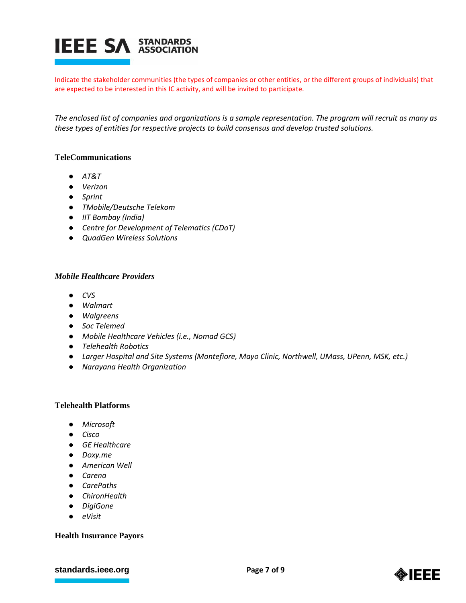

Indicate the stakeholder communities (the types of companies or other entities, or the different groups of individuals) that are expected to be interested in this IC activity, and will be invited to participate.

*The enclosed list of companies and organizations is a sample representation. The program will recruit as many as these types of entities for respective projects to build consensus and develop trusted solutions.*

## **TeleCommunications**

- *AT&T*
- *Verizon*
- *Sprint*
- *TMobile/Deutsche Telekom*
- *IIT Bombay (India)*
- *Centre for Development of Telematics (CDoT)*
- *QuadGen Wireless Solutions*

#### *Mobile Healthcare Providers*

- *CVS*
- *Walmart*
- *Walgreens*
- *Soc Telemed*
- *Mobile Healthcare Vehicles (i.e., Nomad GCS)*
- *Telehealth Robotics*
- *Larger Hospital and Site Systems (Montefiore, Mayo Clinic, Northwell, UMass, UPenn, MSK, etc.)*
- *Narayana Health Organization*

## **Telehealth Platforms**

- *Microsoft*
- *Cisco*
- *GE Healthcare*
- *Doxy.me*
- *American Well*
- *Carena*
- *CarePaths*
- *ChironHealth*
- *DigiGone*
- *eVisit*

## **Health Insurance Payors**

## **[standards.ieee.org](http://standards.ieee.org/) EXECUTE: Page 7 of 9**

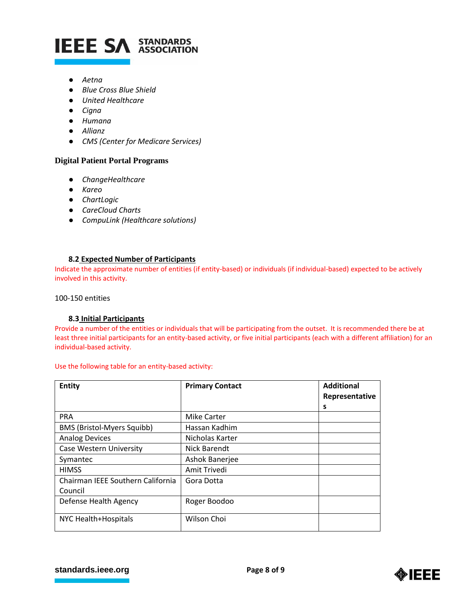

- *Aetna*
- *Blue Cross Blue Shield*
- *United Healthcare*
- *Cigna*
- *Humana*
- *Allianz*
- *CMS (Center for Medicare Services)*

## **Digital Patient Portal Programs**

- *ChangeHealthcare*
- *Kareo*
- *ChartLogic*
- *CareCloud Charts*
- *CompuLink (Healthcare solutions)*

#### **8.2 Expected Number of Participants**

Indicate the approximate number of entities (if entity-based) or individuals (if individual-based) expected to be actively involved in this activity.

100-150 entities

#### **8.3 Initial Participants**

Provide a number of the entities or individuals that will be participating from the outset. It is recommended there be at least three initial participants for an entity-based activity, or five initial participants (each with a different affiliation) for an individual-based activity.

Use the following table for an entity-based activity:

| Entity                                       | <b>Primary Contact</b> | <b>Additional</b><br>Representative |
|----------------------------------------------|------------------------|-------------------------------------|
|                                              |                        | S                                   |
| <b>PRA</b>                                   | <b>Mike Carter</b>     |                                     |
| <b>BMS (Bristol-Myers Squibb)</b>            | Hassan Kadhim          |                                     |
| <b>Analog Devices</b>                        | Nicholas Karter        |                                     |
| <b>Case Western University</b>               | Nick Barendt           |                                     |
| Symantec                                     | Ashok Banerjee         |                                     |
| <b>HIMSS</b>                                 | Amit Trivedi           |                                     |
| Chairman IEEE Southern California<br>Council | Gora Dotta             |                                     |
| Defense Health Agency                        | Roger Boodoo           |                                     |
| NYC Health+Hospitals                         | <b>Wilson Choi</b>     |                                     |